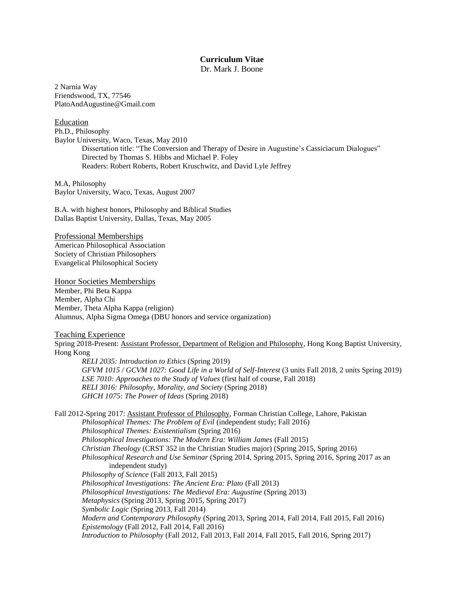# **Curriculum Vitae**

Dr. Mark J. Boone

2 Narnia Way Friendswood, TX, 77546 PlatoAndAugustine@Gmail.com

Education Ph.D., Philosophy Baylor University, Waco, Texas, May 2010 Dissertation title: "The Conversion and Therapy of Desire in Augustine's Cassiciacum Dialogues" Directed by Thomas S. Hibbs and Michael P. Foley Readers: Robert Roberts, Robert Kruschwitz, and David Lyle Jeffrey

M.A, Philosophy Baylor University, Waco, Texas, August 2007

B.A. with highest honors, Philosophy and Biblical Studies Dallas Baptist University, Dallas, Texas, May 2005

Professional Memberships American Philosophical Association Society of Christian Philosophers Evangelical Philosophical Society

Honor Societies Memberships

Member, Phi Beta Kappa Member, Alpha Chi Member, Theta Alpha Kappa (religion) Alumnus, Alpha Sigma Omega (DBU honors and service organization)

## Teaching Experience

Spring 2018-Present: Assistant Professor, Department of Religion and Philosophy, Hong Kong Baptist University, Hong Kong

*RELI 2035: Introduction to Ethics* (Spring 2019) *GFVM 1015 / GCVM 1027: Good Life in a World of Self-Interest* (3 units Fall 2018, 2 units Spring 2019) *LSE 7010: Approaches to the Study of Values* (first half of course, Fall 2018) *RELI 3016: Philosophy, Morality, and Society* (Spring 2018) *GHCH 1075: The Power of Ideas* (Spring 2018)

Fall 2012-Spring 2017: Assistant Professor of Philosophy, Forman Christian College, Lahore, Pakistan *Philosophical Themes: The Problem of Evil* (independent study; Fall 2016) *Philosophical Themes: Existentialism* (Spring 2016) *Philosophical Investigations: The Modern Era: William James* (Fall 2015) *Christian Theology* (CRST 352 in the Christian Studies major) (Spring 2015, Spring 2016) *Philosophical Research and Use Seminar* (Spring 2014, Spring 2015, Spring 2016, Spring 2017 as an independent study) *Philosophy of Science* (Fall 2013, Fall 2015) *Philosophical Investigations: The Ancient Era: Plato* (Fall 2013) *Philosophical Investigations: The Medieval Era: Augustine* (Spring 2013) *Metaphysics* (Spring 2013, Spring 2015, Spring 2017) *Symbolic Logic* (Spring 2013, Fall 2014) *Modern and Contemporary Philosophy* (Spring 2013, Spring 2014, Fall 2014, Fall 2015, Fall 2016) *Epistemology* (Fall 2012, Fall 2014, Fall 2016) *Introduction to Philosophy* (Fall 2012, Fall 2013, Fall 2014, Fall 2015, Fall 2016, Spring 2017)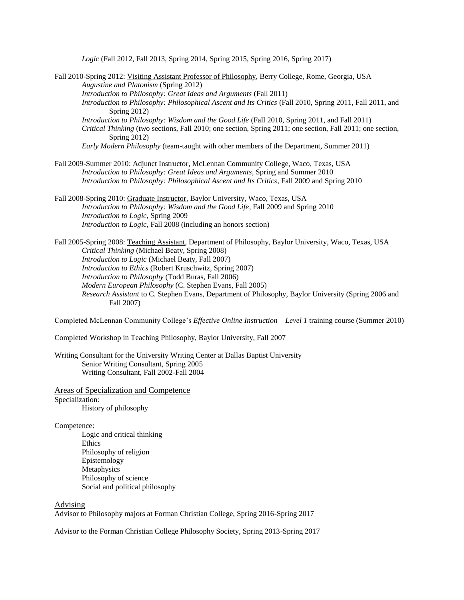*Logic* (Fall 2012, Fall 2013, Spring 2014, Spring 2015, Spring 2016, Spring 2017)

| Fall 2010-Spring 2012: Visiting Assistant Professor of Philosophy, Berry College, Rome, Georgia, USA       |
|------------------------------------------------------------------------------------------------------------|
| Augustine and Platonism (Spring 2012)                                                                      |
| Introduction to Philosophy: Great Ideas and Arguments (Fall 2011)                                          |
| Introduction to Philosophy: Philosophical Ascent and Its Critics (Fall 2010, Spring 2011, Fall 2011, and   |
| Spring $2012$ )                                                                                            |
| Introduction to Philosophy: Wisdom and the Good Life (Fall 2010, Spring 2011, and Fall 2011)               |
| Critical Thinking (two sections, Fall 2010; one section, Spring 2011; one section, Fall 2011; one section, |
| Spring $2012$ )                                                                                            |
| <i>Early Modern Philosophy</i> (team-taught with other members of the Department, Summer 2011)             |
|                                                                                                            |
| Fall 2009-Summer 2010: Adjunct Instructor, McLennan Community College, Waco, Texas, USA                    |

*Introduction to Philosophy: Great Ideas and Arguments*, Spring and Summer 2010 *Introduction to Philosophy: Philosophical Ascent and Its Critics*, Fall 2009 and Spring 2010

Fall 2008-Spring 2010: Graduate Instructor, Baylor University, Waco, Texas, USA *Introduction to Philosophy: Wisdom and the Good Life*, Fall 2009 and Spring 2010 *Introduction to Logic*, Spring 2009 *Introduction to Logic*, Fall 2008 (including an honors section)

Fall 2005-Spring 2008: Teaching Assistant, Department of Philosophy, Baylor University, Waco, Texas, USA *Critical Thinking* (Michael Beaty, Spring 2008) *Introduction to Logic* (Michael Beaty, Fall 2007) *Introduction to Ethics* (Robert Kruschwitz, Spring 2007) *Introduction to Philosophy* (Todd Buras, Fall 2006) *Modern European Philosophy* (C. Stephen Evans, Fall 2005) *Research Assistant* to C. Stephen Evans, Department of Philosophy, Baylor University (Spring 2006 and Fall 2007)

Completed McLennan Community College's *Effective Online Instruction – Level 1* training course (Summer 2010)

Completed Workshop in Teaching Philosophy, Baylor University, Fall 2007

Writing Consultant for the University Writing Center at Dallas Baptist University Senior Writing Consultant, Spring 2005 Writing Consultant, Fall 2002-Fall 2004

Areas of Specialization and Competence Specialization: History of philosophy

Competence:

Logic and critical thinking **Ethics** Philosophy of religion Epistemology **Metaphysics** Philosophy of science Social and political philosophy

# Advising

Advisor to Philosophy majors at Forman Christian College, Spring 2016-Spring 2017

Advisor to the Forman Christian College Philosophy Society, Spring 2013-Spring 2017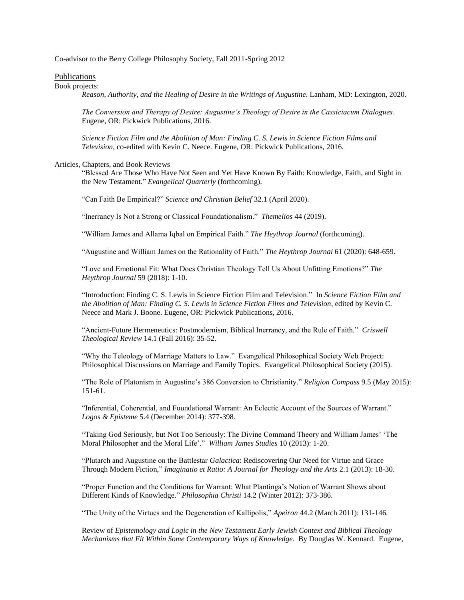Co-advisor to the Berry College Philosophy Society, Fall 2011-Spring 2012

## Publications

#### Book projects:

*Reason, Authority, and the Healing of Desire in the Writings of Augustine*. Lanham, MD: Lexington, 2020.

*The Conversion and Therapy of Desire: Augustine's Theology of Desire in the Cassiciacum Dialogues*. Eugene, OR: Pickwick Publications, 2016.

*Science Fiction Film and the Abolition of Man: Finding C. S. Lewis in Science Fiction Films and Television*, co-edited with Kevin C. Neece. Eugene, OR: Pickwick Publications, 2016.

#### Articles, Chapters, and Book Reviews

"Blessed Are Those Who Have Not Seen and Yet Have Known By Faith: Knowledge, Faith, and Sight in the New Testament." *Evangelical Quarterly* (forthcoming).

"Can Faith Be Empirical?" *Science and Christian Belief* 32.1 (April 2020).

"Inerrancy Is Not a Strong or Classical Foundationalism." *Themelios* 44 (2019).

"William James and Allama Iqbal on Empirical Faith." *The Heythrop Journal* (forthcoming).

"Augustine and William James on the Rationality of Faith." *The Heythrop Journal* 61 (2020): 648-659.

"Love and Emotional Fit: What Does Christian Theology Tell Us About Unfitting Emotions?" *The Heythrop Journal* 59 (2018): 1-10.

"Introduction: Finding C. S. Lewis in Science Fiction Film and Television." In *Science Fiction Film and the Abolition of Man: Finding C. S. Lewis in Science Fiction Films and Television*, edited by Kevin C. Neece and Mark J. Boone. Eugene, OR: Pickwick Publications, 2016.

"Ancient-Future Hermeneutics: Postmodernism, Biblical Inerrancy, and the Rule of Faith." *Criswell Theological Review* 14.1 (Fall 2016): 35-52.

"Why the Teleology of Marriage Matters to Law." Evangelical Philosophical Society Web Project: Philosophical Discussions on Marriage and Family Topics. Evangelical Philosophical Society (2015).

"The Role of Platonism in Augustine's 386 Conversion to Christianity." *Religion Compass* 9.5 (May 2015): 151-61.

"Inferential, Coherential, and Foundational Warrant: An Eclectic Account of the Sources of Warrant." *Logos & Episteme* 5.4 (December 2014): 377-398.

"Taking God Seriously, but Not Too Seriously: The Divine Command Theory and William James' 'The Moral Philosopher and the Moral Life'." *William James Studies* 10 (2013): 1-20.

"Plutarch and Augustine on the Battlestar *Galactica*: Rediscovering Our Need for Virtue and Grace Through Modern Fiction," *Imaginatio et Ratio: A Journal for Theology and the Arts* 2.1 (2013): 18-30.

"Proper Function and the Conditions for Warrant: What Plantinga's Notion of Warrant Shows about Different Kinds of Knowledge." *Philosophia Christi* 14.2 (Winter 2012): 373-386.

"The Unity of the Virtues and the Degeneration of Kallipolis," *Apeiron* 44.2 (March 2011): 131-146.

Review of *Epistemology and Logic in the New Testament Early Jewish Context and Biblical Theology Mechanisms that Fit Within Some Contemporary Ways of Knowledge*. By Douglas W. Kennard. Eugene,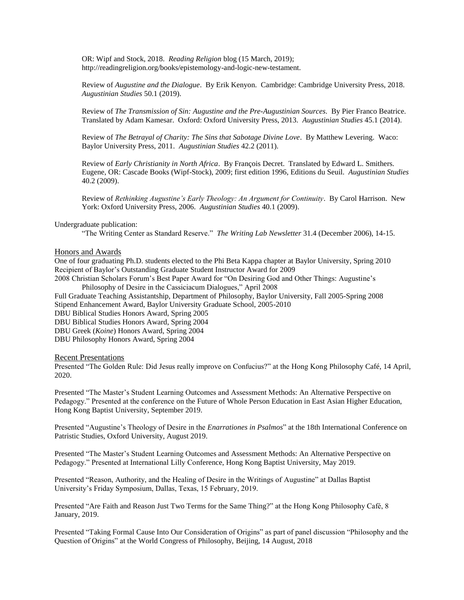OR: Wipf and Stock, 2018. *Reading Religion* blog (15 March, 2019); http://readingreligion.org/books/epistemology-and-logic-new-testament.

Review of *Augustine and the Dialogue*. By Erik Kenyon. Cambridge: Cambridge University Press, 2018. *Augustinian Studies* 50.1 (2019).

Review of *The Transmission of Sin: Augustine and the Pre-Augustinian Sources*. By Pier Franco Beatrice. Translated by Adam Kamesar. Oxford: Oxford University Press, 2013. *Augustinian Studies* 45.1 (2014).

Review of *The Betrayal of Charity: The Sins that Sabotage Divine Love*. By Matthew Levering. Waco: Baylor University Press, 2011. *Augustinian Studies* 42.2 (2011).

Review of *Early Christianity in North Africa*. By François Decret. Translated by Edward L. Smithers. Eugene, OR: Cascade Books (Wipf-Stock), 2009; first edition 1996, Editions du Seuil. *Augustinian Studies* 40.2 (2009).

Review of *Rethinking Augustine's Early Theology: An Argument for Continuity*. By Carol Harrison. New York: Oxford University Press, 2006. *Augustinian Studies* 40.1 (2009).

#### Undergraduate publication:

"The Writing Center as Standard Reserve." *The Writing Lab Newsletter* 31.4 (December 2006), 14-15.

#### Honors and Awards

One of four graduating Ph.D. students elected to the Phi Beta Kappa chapter at Baylor University, Spring 2010 Recipient of Baylor's Outstanding Graduate Student Instructor Award for 2009 2008 Christian Scholars Forum's Best Paper Award for "On Desiring God and Other Things: Augustine's

Philosophy of Desire in the Cassiciacum Dialogues," April 2008 Full Graduate Teaching Assistantship, Department of Philosophy, Baylor University, Fall 2005-Spring 2008

Stipend Enhancement Award, Baylor University Graduate School, 2005-2010

DBU Biblical Studies Honors Award, Spring 2005

DBU Biblical Studies Honors Award, Spring 2004

DBU Greek (*Koine*) Honors Award, Spring 2004

DBU Philosophy Honors Award, Spring 2004

## Recent Presentations

Presented "The Golden Rule: Did Jesus really improve on Confucius?" at the Hong Kong Philosophy Café, 14 April, 2020.

Presented "The Master's Student Learning Outcomes and Assessment Methods: An Alternative Perspective on Pedagogy." Presented at the conference on the Future of Whole Person Education in East Asian Higher Education, Hong Kong Baptist University, September 2019.

Presented "Augustine's Theology of Desire in the *Enarrationes in Psalmos*" at the 18th International Conference on Patristic Studies, Oxford University, August 2019.

Presented "The Master's Student Learning Outcomes and Assessment Methods: An Alternative Perspective on Pedagogy." Presented at International Lilly Conference, Hong Kong Baptist University, May 2019.

Presented "Reason, Authority, and the Healing of Desire in the Writings of Augustine" at Dallas Baptist University's Friday Symposium, Dallas, Texas, 15 February, 2019.

Presented "Are Faith and Reason Just Two Terms for the Same Thing?" at the Hong Kong Philosophy Café, 8 January, 2019.

Presented "Taking Formal Cause Into Our Consideration of Origins" as part of panel discussion "Philosophy and the Question of Origins" at the World Congress of Philosophy, Beijing, 14 August, 2018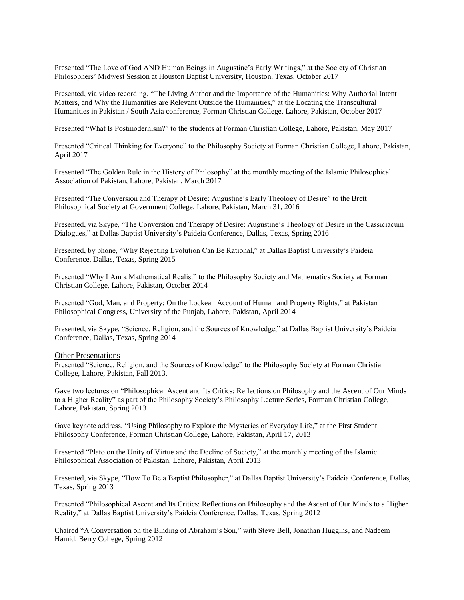Presented "The Love of God AND Human Beings in Augustine's Early Writings," at the Society of Christian Philosophers' Midwest Session at Houston Baptist University, Houston, Texas, October 2017

Presented, via video recording, "The Living Author and the Importance of the Humanities: Why Authorial Intent Matters, and Why the Humanities are Relevant Outside the Humanities," at the Locating the Transcultural Humanities in Pakistan / South Asia conference, Forman Christian College, Lahore, Pakistan, October 2017

Presented "What Is Postmodernism?" to the students at Forman Christian College, Lahore, Pakistan, May 2017

Presented "Critical Thinking for Everyone" to the Philosophy Society at Forman Christian College, Lahore, Pakistan, April 2017

Presented "The Golden Rule in the History of Philosophy" at the monthly meeting of the Islamic Philosophical Association of Pakistan, Lahore, Pakistan, March 2017

Presented "The Conversion and Therapy of Desire: Augustine's Early Theology of Desire" to the Brett Philosophical Society at Government College, Lahore, Pakistan, March 31, 2016

Presented, via Skype, "The Conversion and Therapy of Desire: Augustine's Theology of Desire in the Cassiciacum Dialogues," at Dallas Baptist University's Paideia Conference, Dallas, Texas, Spring 2016

Presented, by phone, "Why Rejecting Evolution Can Be Rational," at Dallas Baptist University's Paideia Conference, Dallas, Texas, Spring 2015

Presented "Why I Am a Mathematical Realist" to the Philosophy Society and Mathematics Society at Forman Christian College, Lahore, Pakistan, October 2014

Presented "God, Man, and Property: On the Lockean Account of Human and Property Rights," at Pakistan Philosophical Congress, University of the Punjab, Lahore, Pakistan, April 2014

Presented, via Skype, "Science, Religion, and the Sources of Knowledge," at Dallas Baptist University's Paideia Conference, Dallas, Texas, Spring 2014

Other Presentations

Presented "Science, Religion, and the Sources of Knowledge" to the Philosophy Society at Forman Christian College, Lahore, Pakistan, Fall 2013.

Gave two lectures on "Philosophical Ascent and Its Critics: Reflections on Philosophy and the Ascent of Our Minds to a Higher Reality" as part of the Philosophy Society's Philosophy Lecture Series, Forman Christian College, Lahore, Pakistan, Spring 2013

Gave keynote address, "Using Philosophy to Explore the Mysteries of Everyday Life," at the First Student Philosophy Conference, Forman Christian College, Lahore, Pakistan, April 17, 2013

Presented "Plato on the Unity of Virtue and the Decline of Society," at the monthly meeting of the Islamic Philosophical Association of Pakistan, Lahore, Pakistan, April 2013

Presented, via Skype, "How To Be a Baptist Philosopher," at Dallas Baptist University's Paideia Conference, Dallas, Texas, Spring 2013

Presented "Philosophical Ascent and Its Critics: Reflections on Philosophy and the Ascent of Our Minds to a Higher Reality," at Dallas Baptist University's Paideia Conference, Dallas, Texas, Spring 2012

Chaired "A Conversation on the Binding of Abraham's Son," with Steve Bell, Jonathan Huggins, and Nadeem Hamid, Berry College, Spring 2012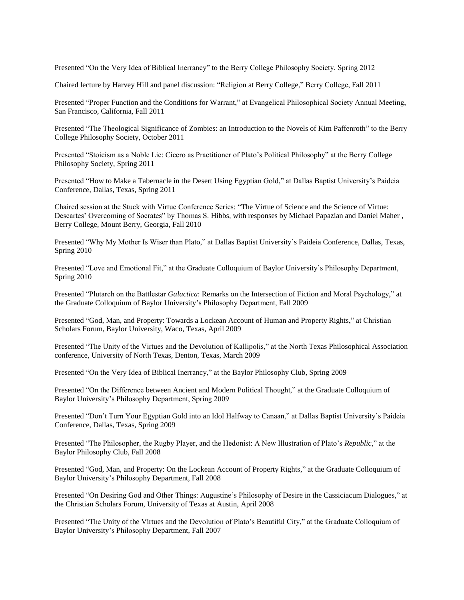Presented "On the Very Idea of Biblical Inerrancy" to the Berry College Philosophy Society, Spring 2012

Chaired lecture by Harvey Hill and panel discussion: "Religion at Berry College," Berry College, Fall 2011

Presented "Proper Function and the Conditions for Warrant," at Evangelical Philosophical Society Annual Meeting, San Francisco, California, Fall 2011

Presented "The Theological Significance of Zombies: an Introduction to the Novels of Kim Paffenroth" to the Berry College Philosophy Society, October 2011

Presented "Stoicism as a Noble Lie: Cicero as Practitioner of Plato's Political Philosophy" at the Berry College Philosophy Society, Spring 2011

Presented "How to Make a Tabernacle in the Desert Using Egyptian Gold," at Dallas Baptist University's Paideia Conference, Dallas, Texas, Spring 2011

Chaired session at the Stuck with Virtue Conference Series: "The Virtue of Science and the Science of Virtue: Descartes' Overcoming of Socrates" by Thomas S. Hibbs, with responses by Michael Papazian and Daniel Maher , Berry College, Mount Berry, Georgia, Fall 2010

Presented "Why My Mother Is Wiser than Plato," at Dallas Baptist University's Paideia Conference, Dallas, Texas, Spring 2010

Presented "Love and Emotional Fit," at the Graduate Colloquium of Baylor University's Philosophy Department, Spring 2010

Presented "Plutarch on the Battlestar *Galactica*: Remarks on the Intersection of Fiction and Moral Psychology," at the Graduate Colloquium of Baylor University's Philosophy Department, Fall 2009

Presented "God, Man, and Property: Towards a Lockean Account of Human and Property Rights," at Christian Scholars Forum, Baylor University, Waco, Texas, April 2009

Presented "The Unity of the Virtues and the Devolution of Kallipolis," at the North Texas Philosophical Association conference, University of North Texas, Denton, Texas, March 2009

Presented "On the Very Idea of Biblical Inerrancy," at the Baylor Philosophy Club, Spring 2009

Presented "On the Difference between Ancient and Modern Political Thought," at the Graduate Colloquium of Baylor University's Philosophy Department, Spring 2009

Presented "Don't Turn Your Egyptian Gold into an Idol Halfway to Canaan," at Dallas Baptist University's Paideia Conference, Dallas, Texas, Spring 2009

Presented "The Philosopher, the Rugby Player, and the Hedonist: A New Illustration of Plato's *Republic*," at the Baylor Philosophy Club, Fall 2008

Presented "God, Man, and Property: On the Lockean Account of Property Rights," at the Graduate Colloquium of Baylor University's Philosophy Department, Fall 2008

Presented "On Desiring God and Other Things: Augustine's Philosophy of Desire in the Cassiciacum Dialogues," at the Christian Scholars Forum, University of Texas at Austin, April 2008

Presented "The Unity of the Virtues and the Devolution of Plato's Beautiful City," at the Graduate Colloquium of Baylor University's Philosophy Department, Fall 2007